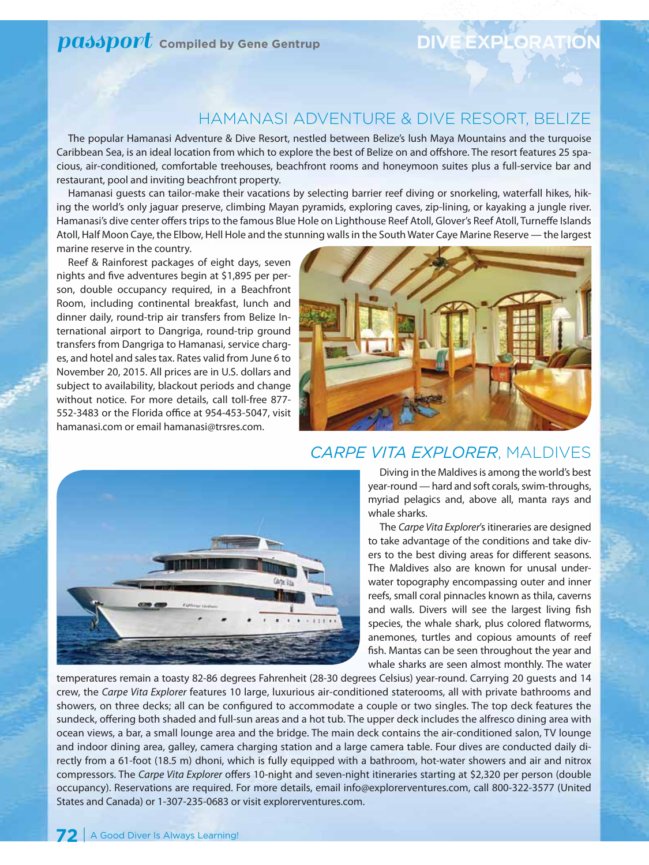# *passport* compiled by Gene Gentrup **DIVE EXPLORAT**

### Hamanasi Adventure & Dive Resort, Belize

The popular Hamanasi Adventure & Dive Resort, nestled between Belize's lush Maya Mountains and the turquoise Caribbean Sea, is an ideal location from which to explore the best of Belize on and offshore. The resort features 25 spacious, air-conditioned, comfortable treehouses, beachfront rooms and honeymoon suites plus a full-service bar and restaurant, pool and inviting beachfront property.

Hamanasi guests can tailor-make their vacations by selecting barrier reef diving or snorkeling, waterfall hikes, hiking the world's only jaguar preserve, climbing Mayan pyramids, exploring caves, zip-lining, or kayaking a jungle river. Hamanasi's dive center offers trips to the famous Blue Hole on Lighthouse Reef Atoll, Glover's Reef Atoll, Turneffe Islands Atoll, Half Moon Caye, the Elbow, Hell Hole and the stunning walls in the South Water Caye Marine Reserve — the largest marine reserve in the country.

Reef & Rainforest packages of eight days, seven nights and five adventures begin at \$1,895 per person, double occupancy required, in a Beachfront Room, including continental breakfast, lunch and dinner daily, round-trip air transfers from Belize International airport to Dangriga, round-trip ground transfers from Dangriga to Hamanasi, service charges, and hotel and sales tax. Rates valid from June 6 to November 20, 2015. All prices are in U.S. dollars and subject to availability, blackout periods and change without notice. For more details, call toll-free 877- 552-3483 or the Florida office at 954-453-5047, visit hamanasi.com or email hamanasi@trsres.com.





### *Carpe Vita Explorer*, Maldives

Diving in the Maldives is among the world's best year-round — hard and soft corals, swim-throughs, myriad pelagics and, above all, manta rays and whale sharks.

The *Carpe Vita Explorer*'s itineraries are designed to take advantage of the conditions and take divers to the best diving areas for different seasons. The Maldives also are known for unusal underwater topography encompassing outer and inner reefs, small coral pinnacles known as thila, caverns and walls. Divers will see the largest living fish species, the whale shark, plus colored flatworms, anemones, turtles and copious amounts of reef fish. Mantas can be seen throughout the year and whale sharks are seen almost monthly. The water

temperatures remain a toasty 82-86 degrees Fahrenheit (28-30 degrees Celsius) year-round. Carrying 20 guests and 14 crew, the *Carpe Vita Explorer* features 10 large, luxurious air-conditioned staterooms, all with private bathrooms and showers, on three decks; all can be configured to accommodate a couple or two singles. The top deck features the sundeck, offering both shaded and full-sun areas and a hot tub. The upper deck includes the alfresco dining area with ocean views, a bar, a small lounge area and the bridge. The main deck contains the air-conditioned salon, TV lounge and indoor dining area, galley, camera charging station and a large camera table. Four dives are conducted daily directly from a 61-foot (18.5 m) dhoni, which is fully equipped with a bathroom, hot-water showers and air and nitrox compressors. The *Carpe Vita Explorer* offers 10-night and seven-night itineraries starting at \$2,320 per person (double occupancy). Reservations are required. For more details, email info@explorerventures.com, call 800-322-3577 (United States and Canada) or 1-307-235-0683 or visit explorerventures.com.